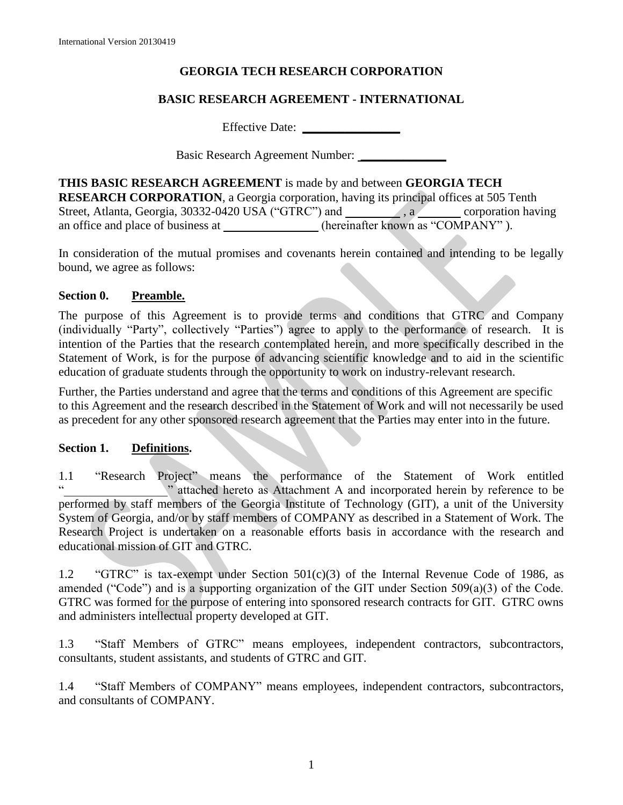# **GEORGIA TECH RESEARCH CORPORATION**

# **BASIC RESEARCH AGREEMENT - INTERNATIONAL**

Effective Date: **\_\_\_\_\_\_\_\_\_\_\_\_\_\_\_\_**

Basic Research Agreement Number: **\_\_\_\_\_\_\_\_\_\_\_\_\_\_**

**THIS BASIC RESEARCH AGREEMENT** is made by and between **GEORGIA TECH RESEARCH CORPORATION**, a Georgia corporation, having its principal offices at 505 Tenth Street, Atlanta, Georgia, 30332-0420 USA ("GTRC") and \_\_\_\_\_\_\_\_\_\_\_, a corporation having an office and place of business at (hereinafter known as "COMPANY").

In consideration of the mutual promises and covenants herein contained and intending to be legally bound, we agree as follows:

### **Section 0. Preamble.**

The purpose of this Agreement is to provide terms and conditions that GTRC and Company (individually "Party", collectively "Parties") agree to apply to the performance of research. It is intention of the Parties that the research contemplated herein, and more specifically described in the Statement of Work, is for the purpose of advancing scientific knowledge and to aid in the scientific education of graduate students through the opportunity to work on industry-relevant research.

Further, the Parties understand and agree that the terms and conditions of this Agreement are specific to this Agreement and the research described in the Statement of Work and will not necessarily be used as precedent for any other sponsored research agreement that the Parties may enter into in the future.

### **Section 1. Definitions.**

1.1 "Research Project" means the performance of the Statement of Work entitled "\_\_\_\_\_\_\_\_\_\_\_\_\_\_\_\_\_" attached hereto as Attachment A and incorporated herein by reference to be performed by staff members of the Georgia Institute of Technology (GIT), a unit of the University System of Georgia, and/or by staff members of COMPANY as described in a Statement of Work. The Research Project is undertaken on a reasonable efforts basis in accordance with the research and educational mission of GIT and GTRC.

1.2 "GTRC" is tax-exempt under Section 501(c)(3) of the Internal Revenue Code of 1986, as amended ("Code") and is a supporting organization of the GIT under Section 509(a)(3) of the Code. GTRC was formed for the purpose of entering into sponsored research contracts for GIT. GTRC owns and administers intellectual property developed at GIT.

1.3 "Staff Members of GTRC" means employees, independent contractors, subcontractors, consultants, student assistants, and students of GTRC and GIT.

1.4 "Staff Members of COMPANY" means employees, independent contractors, subcontractors, and consultants of COMPANY.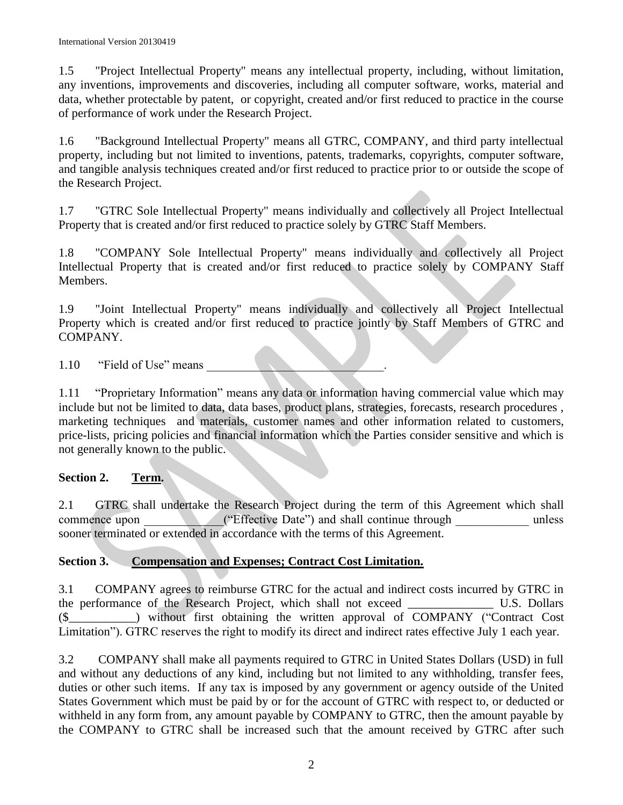1.5 "Project Intellectual Property" means any intellectual property, including, without limitation, any inventions, improvements and discoveries, including all computer software, works, material and data, whether protectable by patent, or copyright, created and/or first reduced to practice in the course of performance of work under the Research Project.

1.6 "Background Intellectual Property" means all GTRC, COMPANY, and third party intellectual property, including but not limited to inventions, patents, trademarks, copyrights, computer software, and tangible analysis techniques created and/or first reduced to practice prior to or outside the scope of the Research Project.

1.7 "GTRC Sole Intellectual Property" means individually and collectively all Project Intellectual Property that is created and/or first reduced to practice solely by GTRC Staff Members.

1.8 "COMPANY Sole Intellectual Property" means individually and collectively all Project Intellectual Property that is created and/or first reduced to practice solely by COMPANY Staff Members.

1.9 "Joint Intellectual Property" means individually and collectively all Project Intellectual Property which is created and/or first reduced to practice jointly by Staff Members of GTRC and COMPANY.

1.10 "Field of Use" means

1.11 "Proprietary Information" means any data or information having commercial value which may include but not be limited to data, data bases, product plans, strategies, forecasts, research procedures , marketing techniques and materials, customer names and other information related to customers, price-lists, pricing policies and financial information which the Parties consider sensitive and which is not generally known to the public.

# **Section 2. Term.**

2.1 GTRC shall undertake the Research Project during the term of this Agreement which shall commence upon ("Effective Date") and shall continue through unless ("Effective Date") and shall continue through unless sooner terminated or extended in accordance with the terms of this Agreement.

# **Section 3. Compensation and Expenses; Contract Cost Limitation.**

3.1 COMPANY agrees to reimburse GTRC for the actual and indirect costs incurred by GTRC in the performance of the Research Project, which shall not exceed U.S. Dollars (\$\_\_\_\_\_\_\_\_\_\_\_) without first obtaining the written approval of COMPANY ("Contract Cost Limitation"). GTRC reserves the right to modify its direct and indirect rates effective July 1 each year.

3.2 COMPANY shall make all payments required to GTRC in United States Dollars (USD) in full and without any deductions of any kind, including but not limited to any withholding, transfer fees, duties or other such items. If any tax is imposed by any government or agency outside of the United States Government which must be paid by or for the account of GTRC with respect to, or deducted or withheld in any form from, any amount payable by COMPANY to GTRC, then the amount payable by the COMPANY to GTRC shall be increased such that the amount received by GTRC after such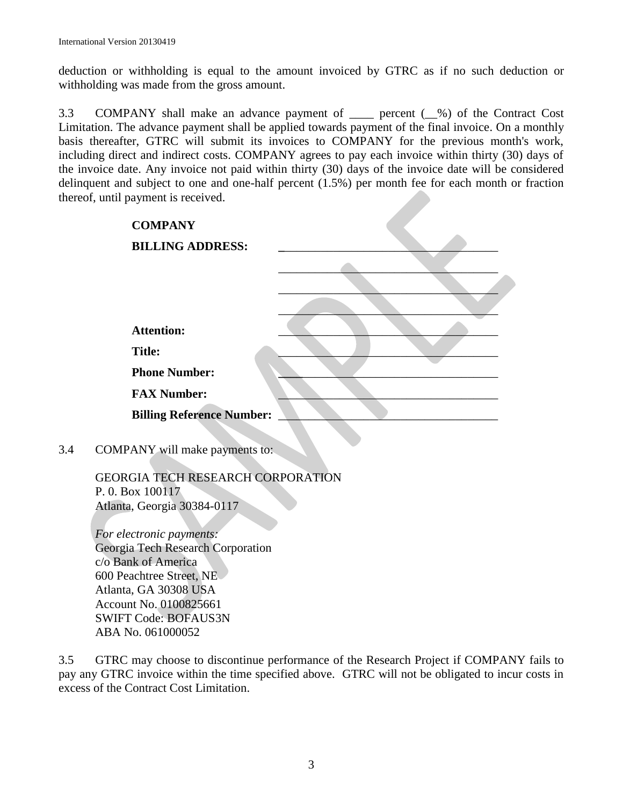deduction or withholding is equal to the amount invoiced by GTRC as if no such deduction or withholding was made from the gross amount.

3.3 COMPANY shall make an advance payment of \_\_\_\_ percent (\_\_%) of the Contract Cost Limitation. The advance payment shall be applied towards payment of the final invoice. On a monthly basis thereafter, GTRC will submit its invoices to COMPANY for the previous month's work, including direct and indirect costs. COMPANY agrees to pay each invoice within thirty (30) days of the invoice date. Any invoice not paid within thirty (30) days of the invoice date will be considered delinquent and subject to one and one-half percent (1.5%) per month fee for each month or fraction thereof, until payment is received.

|     | <b>COMPANY</b>                                               |  |
|-----|--------------------------------------------------------------|--|
|     | <b>BILLING ADDRESS:</b>                                      |  |
|     |                                                              |  |
|     |                                                              |  |
|     |                                                              |  |
|     | <b>Attention:</b>                                            |  |
|     |                                                              |  |
|     | <b>Title:</b>                                                |  |
|     | <b>Phone Number:</b>                                         |  |
|     | <b>FAX Number:</b>                                           |  |
|     | <b>Billing Reference Number:</b>                             |  |
|     |                                                              |  |
| 3.4 | COMPANY will make payments to:                               |  |
|     |                                                              |  |
|     | <b>GEORGIA TECH RESEARCH CORPORATION</b><br>P. 0. Box 100117 |  |
|     | Atlanta, Georgia 30384-0117                                  |  |
|     |                                                              |  |
|     | For electronic payments:                                     |  |
|     | Georgia Tech Research Corporation                            |  |
|     | c/o Bank of America                                          |  |
|     | 600 Peachtree Street, NE                                     |  |
|     | Atlanta, GA 30308 USA                                        |  |
|     | Account No. 0100825661                                       |  |
|     | <b>SWIFT Code: BOFAUS3N</b>                                  |  |
|     | ABA No. 061000052                                            |  |

3.5 GTRC may choose to discontinue performance of the Research Project if COMPANY fails to pay any GTRC invoice within the time specified above. GTRC will not be obligated to incur costs in excess of the Contract Cost Limitation.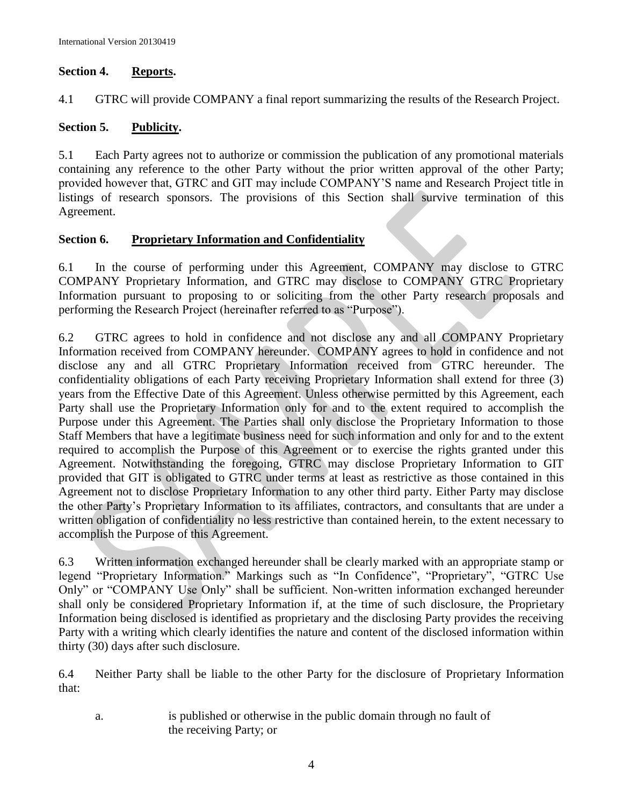### **Section 4. Reports.**

4.1 GTRC will provide COMPANY a final report summarizing the results of the Research Project.

## **Section 5. Publicity.**

5.1 Each Party agrees not to authorize or commission the publication of any promotional materials containing any reference to the other Party without the prior written approval of the other Party; provided however that, GTRC and GIT may include COMPANY'S name and Research Project title in listings of research sponsors. The provisions of this Section shall survive termination of this Agreement.

### **Section 6. Proprietary Information and Confidentiality**

6.1 In the course of performing under this Agreement, COMPANY may disclose to GTRC COMPANY Proprietary Information, and GTRC may disclose to COMPANY GTRC Proprietary Information pursuant to proposing to or soliciting from the other Party research proposals and performing the Research Project (hereinafter referred to as "Purpose").

6.2 GTRC agrees to hold in confidence and not disclose any and all COMPANY Proprietary Information received from COMPANY hereunder. COMPANY agrees to hold in confidence and not disclose any and all GTRC Proprietary Information received from GTRC hereunder. The confidentiality obligations of each Party receiving Proprietary Information shall extend for three (3) years from the Effective Date of this Agreement. Unless otherwise permitted by this Agreement, each Party shall use the Proprietary Information only for and to the extent required to accomplish the Purpose under this Agreement. The Parties shall only disclose the Proprietary Information to those Staff Members that have a legitimate business need for such information and only for and to the extent required to accomplish the Purpose of this Agreement or to exercise the rights granted under this Agreement. Notwithstanding the foregoing, GTRC may disclose Proprietary Information to GIT provided that GIT is obligated to GTRC under terms at least as restrictive as those contained in this Agreement not to disclose Proprietary Information to any other third party. Either Party may disclose the other Party's Proprietary Information to its affiliates, contractors, and consultants that are under a written obligation of confidentiality no less restrictive than contained herein, to the extent necessary to accomplish the Purpose of this Agreement.

6.3 Written information exchanged hereunder shall be clearly marked with an appropriate stamp or legend "Proprietary Information." Markings such as "In Confidence", "Proprietary", "GTRC Use Only" or "COMPANY Use Only" shall be sufficient. Non-written information exchanged hereunder shall only be considered Proprietary Information if, at the time of such disclosure, the Proprietary Information being disclosed is identified as proprietary and the disclosing Party provides the receiving Party with a writing which clearly identifies the nature and content of the disclosed information within thirty (30) days after such disclosure.

6.4 Neither Party shall be liable to the other Party for the disclosure of Proprietary Information that:

a. is published or otherwise in the public domain through no fault of the receiving Party; or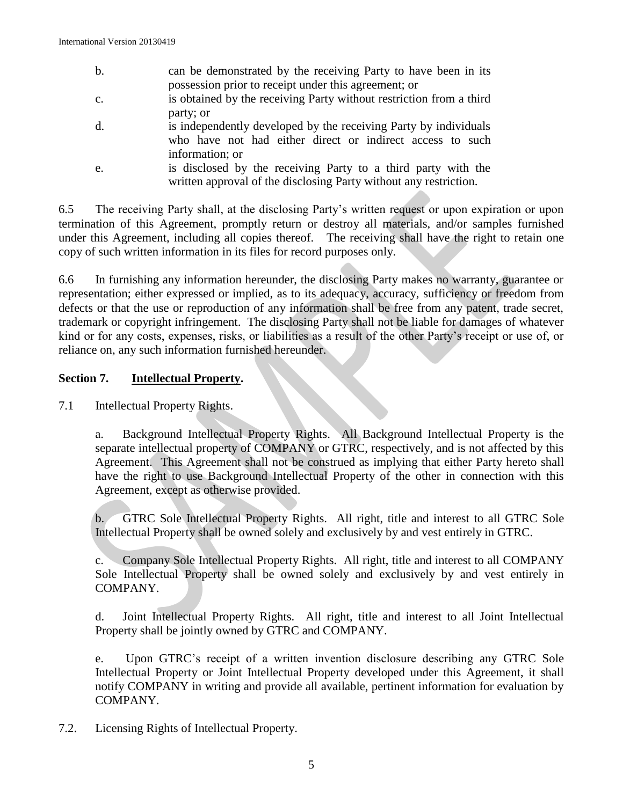- b. can be demonstrated by the receiving Party to have been in its possession prior to receipt under this agreement; or
- c. is obtained by the receiving Party without restriction from a third party; or
- d. is independently developed by the receiving Party by individuals who have not had either direct or indirect access to such information; or
- e. is disclosed by the receiving Party to a third party with the written approval of the disclosing Party without any restriction.

6.5The receiving Party shall, at the disclosing Party's written request or upon expiration or upon termination of this Agreement, promptly return or destroy all materials, and/or samples furnished under this Agreement, including all copies thereof. The receiving shall have the right to retain one copy of such written information in its files for record purposes only.

6.6 In furnishing any information hereunder, the disclosing Party makes no warranty, guarantee or representation; either expressed or implied, as to its adequacy, accuracy, sufficiency or freedom from defects or that the use or reproduction of any information shall be free from any patent, trade secret, trademark or copyright infringement. The disclosing Party shall not be liable for damages of whatever kind or for any costs, expenses, risks, or liabilities as a result of the other Party's receipt or use of, or reliance on, any such information furnished hereunder.

# **Section 7. Intellectual Property.**

7.1 Intellectual Property Rights.

a. Background Intellectual Property Rights. All Background Intellectual Property is the separate intellectual property of COMPANY or GTRC, respectively, and is not affected by this Agreement. This Agreement shall not be construed as implying that either Party hereto shall have the right to use Background Intellectual Property of the other in connection with this Agreement, except as otherwise provided.

b. GTRC Sole Intellectual Property Rights. All right, title and interest to all GTRC Sole Intellectual Property shall be owned solely and exclusively by and vest entirely in GTRC.

c. Company Sole Intellectual Property Rights. All right, title and interest to all COMPANY Sole Intellectual Property shall be owned solely and exclusively by and vest entirely in COMPANY.

d. Joint Intellectual Property Rights. All right, title and interest to all Joint Intellectual Property shall be jointly owned by GTRC and COMPANY.

e. Upon GTRC's receipt of a written invention disclosure describing any GTRC Sole Intellectual Property or Joint Intellectual Property developed under this Agreement, it shall notify COMPANY in writing and provide all available, pertinent information for evaluation by COMPANY.

7.2. Licensing Rights of Intellectual Property.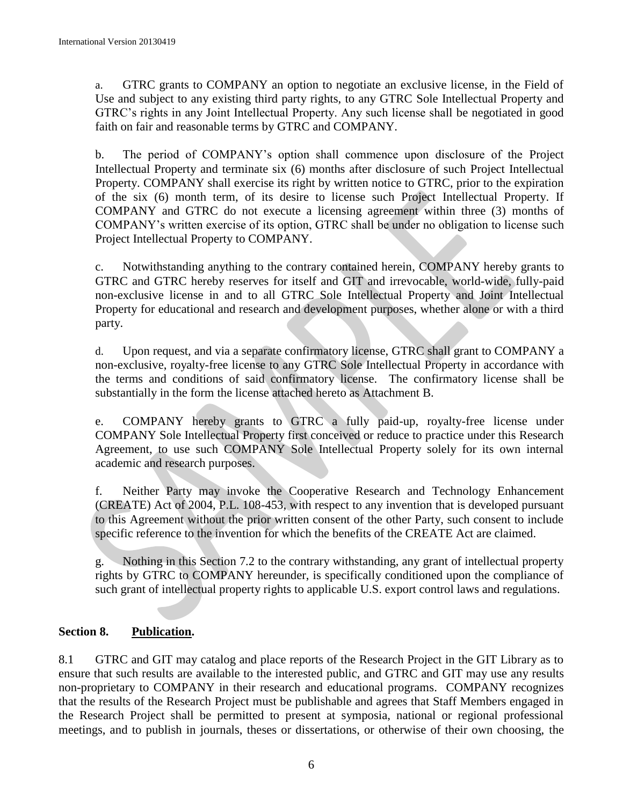a. GTRC grants to COMPANY an option to negotiate an exclusive license, in the Field of Use and subject to any existing third party rights, to any GTRC Sole Intellectual Property and GTRC's rights in any Joint Intellectual Property. Any such license shall be negotiated in good faith on fair and reasonable terms by GTRC and COMPANY.

b. The period of COMPANY's option shall commence upon disclosure of the Project Intellectual Property and terminate six (6) months after disclosure of such Project Intellectual Property. COMPANY shall exercise its right by written notice to GTRC, prior to the expiration of the six (6) month term, of its desire to license such Project Intellectual Property. If COMPANY and GTRC do not execute a licensing agreement within three (3) months of COMPANY's written exercise of its option, GTRC shall be under no obligation to license such Project Intellectual Property to COMPANY.

c. Notwithstanding anything to the contrary contained herein, COMPANY hereby grants to GTRC and GTRC hereby reserves for itself and GIT and irrevocable, world-wide, fully-paid non-exclusive license in and to all GTRC Sole Intellectual Property and Joint Intellectual Property for educational and research and development purposes, whether alone or with a third party.

d. Upon request, and via a separate confirmatory license, GTRC shall grant to COMPANY a non-exclusive, royalty-free license to any GTRC Sole Intellectual Property in accordance with the terms and conditions of said confirmatory license. The confirmatory license shall be substantially in the form the license attached hereto as Attachment B.

e. COMPANY hereby grants to GTRC a fully paid-up, royalty-free license under COMPANY Sole Intellectual Property first conceived or reduce to practice under this Research Agreement, to use such COMPANY Sole Intellectual Property solely for its own internal academic and research purposes.

f. Neither Party may invoke the Cooperative Research and Technology Enhancement (CREATE) Act of 2004, P.L. 108-453, with respect to any invention that is developed pursuant to this Agreement without the prior written consent of the other Party, such consent to include specific reference to the invention for which the benefits of the CREATE Act are claimed.

g. Nothing in this Section 7.2 to the contrary withstanding, any grant of intellectual property rights by GTRC to COMPANY hereunder, is specifically conditioned upon the compliance of such grant of intellectual property rights to applicable U.S. export control laws and regulations.

# **Section 8. Publication.**

8.1 GTRC and GIT may catalog and place reports of the Research Project in the GIT Library as to ensure that such results are available to the interested public, and GTRC and GIT may use any results non-proprietary to COMPANY in their research and educational programs. COMPANY recognizes that the results of the Research Project must be publishable and agrees that Staff Members engaged in the Research Project shall be permitted to present at symposia, national or regional professional meetings, and to publish in journals, theses or dissertations, or otherwise of their own choosing, the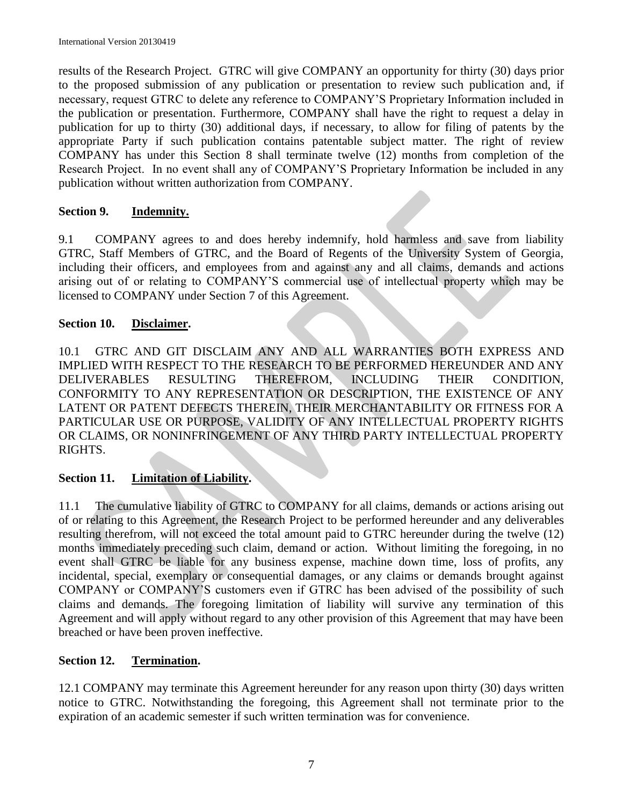results of the Research Project. GTRC will give COMPANY an opportunity for thirty (30) days prior to the proposed submission of any publication or presentation to review such publication and, if necessary, request GTRC to delete any reference to COMPANY'S Proprietary Information included in the publication or presentation. Furthermore, COMPANY shall have the right to request a delay in publication for up to thirty (30) additional days, if necessary, to allow for filing of patents by the appropriate Party if such publication contains patentable subject matter. The right of review COMPANY has under this Section 8 shall terminate twelve (12) months from completion of the Research Project. In no event shall any of COMPANY'S Proprietary Information be included in any publication without written authorization from COMPANY.

# **Section 9. Indemnity.**

9.1 COMPANY agrees to and does hereby indemnify, hold harmless and save from liability GTRC, Staff Members of GTRC, and the Board of Regents of the University System of Georgia, including their officers, and employees from and against any and all claims, demands and actions arising out of or relating to COMPANY'S commercial use of intellectual property which may be licensed to COMPANY under Section 7 of this Agreement.

# **Section 10. Disclaimer.**

10.1 GTRC AND GIT DISCLAIM ANY AND ALL WARRANTIES BOTH EXPRESS AND IMPLIED WITH RESPECT TO THE RESEARCH TO BE PERFORMED HEREUNDER AND ANY DELIVERABLES RESULTING THEREFROM, INCLUDING THEIR CONDITION, CONFORMITY TO ANY REPRESENTATION OR DESCRIPTION, THE EXISTENCE OF ANY LATENT OR PATENT DEFECTS THEREIN, THEIR MERCHANTABILITY OR FITNESS FOR A PARTICULAR USE OR PURPOSE, VALIDITY OF ANY INTELLECTUAL PROPERTY RIGHTS OR CLAIMS, OR NONINFRINGEMENT OF ANY THIRD PARTY INTELLECTUAL PROPERTY RIGHTS.

# **Section 11. Limitation of Liability.**

11.1 The cumulative liability of GTRC to COMPANY for all claims, demands or actions arising out of or relating to this Agreement, the Research Project to be performed hereunder and any deliverables resulting therefrom, will not exceed the total amount paid to GTRC hereunder during the twelve (12) months immediately preceding such claim, demand or action. Without limiting the foregoing, in no event shall GTRC be liable for any business expense, machine down time, loss of profits, any incidental, special, exemplary or consequential damages, or any claims or demands brought against COMPANY or COMPANY'S customers even if GTRC has been advised of the possibility of such claims and demands. The foregoing limitation of liability will survive any termination of this Agreement and will apply without regard to any other provision of this Agreement that may have been breached or have been proven ineffective.

# **Section 12. Termination.**

12.1 COMPANY may terminate this Agreement hereunder for any reason upon thirty (30) days written notice to GTRC. Notwithstanding the foregoing, this Agreement shall not terminate prior to the expiration of an academic semester if such written termination was for convenience.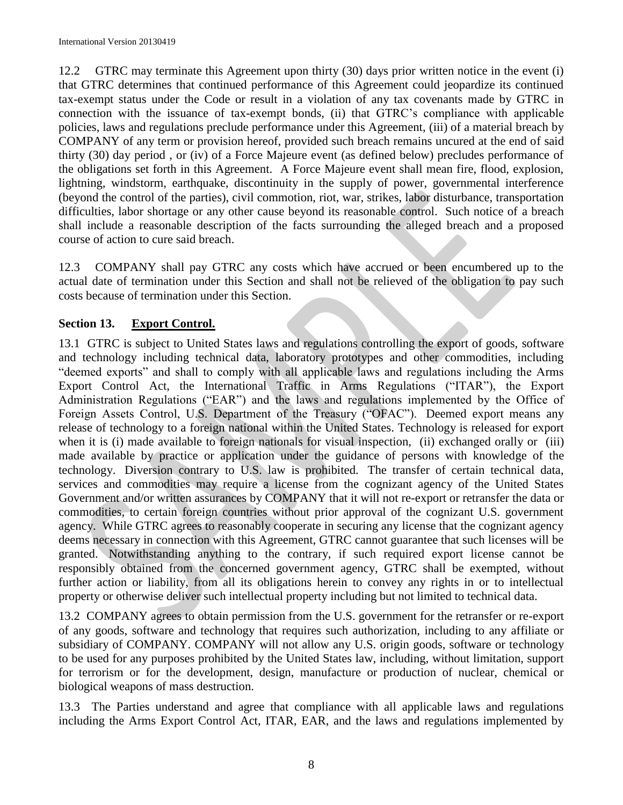12.2 GTRC may terminate this Agreement upon thirty (30) days prior written notice in the event (i) that GTRC determines that continued performance of this Agreement could jeopardize its continued tax-exempt status under the Code or result in a violation of any tax covenants made by GTRC in connection with the issuance of tax-exempt bonds, (ii) that GTRC's compliance with applicable policies, laws and regulations preclude performance under this Agreement, (iii) of a material breach by COMPANY of any term or provision hereof, provided such breach remains uncured at the end of said thirty (30) day period , or (iv) of a Force Majeure event (as defined below) precludes performance of the obligations set forth in this Agreement. A Force Majeure event shall mean fire, flood, explosion, lightning, windstorm, earthquake, discontinuity in the supply of power, governmental interference (beyond the control of the parties), civil commotion, riot, war, strikes, labor disturbance, transportation difficulties, labor shortage or any other cause beyond its reasonable control. Such notice of a breach shall include a reasonable description of the facts surrounding the alleged breach and a proposed course of action to cure said breach.

12.3 COMPANY shall pay GTRC any costs which have accrued or been encumbered up to the actual date of termination under this Section and shall not be relieved of the obligation to pay such costs because of termination under this Section.

# **Section 13. Export Control.**

13.1GTRC is subject to United States laws and regulations controlling the export of goods, software and technology including technical data, laboratory prototypes and other commodities, including "deemed exports" and shall to comply with all applicable laws and regulations including the Arms Export Control Act, the International Traffic in Arms Regulations ("ITAR"), the Export Administration Regulations ("EAR") and the laws and regulations implemented by the Office of Foreign Assets Control, U.S. Department of the Treasury ("OFAC"). Deemed export means any release of technology to a foreign national within the United States. Technology is released for export when it is (i) made available to foreign nationals for visual inspection, (ii) exchanged orally or (iii) made available by practice or application under the guidance of persons with knowledge of the technology. Diversion contrary to U.S. law is prohibited. The transfer of certain technical data, services and commodities may require a license from the cognizant agency of the United States Government and/or written assurances by COMPANY that it will not re-export or retransfer the data or commodities, to certain foreign countries without prior approval of the cognizant U.S. government agency. While GTRC agrees to reasonably cooperate in securing any license that the cognizant agency deems necessary in connection with this Agreement, GTRC cannot guarantee that such licenses will be granted. Notwithstanding anything to the contrary, if such required export license cannot be responsibly obtained from the concerned government agency, GTRC shall be exempted, without further action or liability, from all its obligations herein to convey any rights in or to intellectual property or otherwise deliver such intellectual property including but not limited to technical data.

13.2 COMPANY agrees to obtain permission from the U.S. government for the retransfer or re-export of any goods, software and technology that requires such authorization, including to any affiliate or subsidiary of COMPANY. COMPANY will not allow any U.S. origin goods, software or technology to be used for any purposes prohibited by the United States law, including, without limitation, support for terrorism or for the development, design, manufacture or production of nuclear, chemical or biological weapons of mass destruction.

13.3 The Parties understand and agree that compliance with all applicable laws and regulations including the Arms Export Control Act, ITAR, EAR, and the laws and regulations implemented by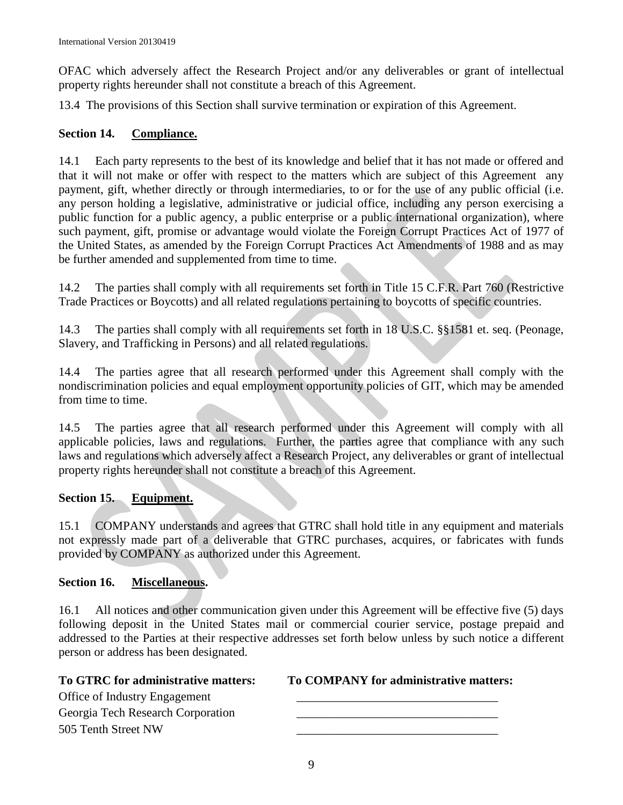OFAC which adversely affect the Research Project and/or any deliverables or grant of intellectual property rights hereunder shall not constitute a breach of this Agreement.

13.4 The provisions of this Section shall survive termination or expiration of this Agreement.

## **Section 14. Compliance.**

14.1 Each party represents to the best of its knowledge and belief that it has not made or offered and that it will not make or offer with respect to the matters which are subject of this Agreement any payment, gift, whether directly or through intermediaries, to or for the use of any public official (i.e. any person holding a legislative, administrative or judicial office, including any person exercising a public function for a public agency, a public enterprise or a public international organization), where such payment, gift, promise or advantage would violate the Foreign Corrupt Practices Act of 1977 of the United States, as amended by the Foreign Corrupt Practices Act Amendments of 1988 and as may be further amended and supplemented from time to time.

14.2 The parties shall comply with all requirements set forth in Title 15 C.F.R. Part 760 (Restrictive Trade Practices or Boycotts) and all related regulations pertaining to boycotts of specific countries.

14.3 The parties shall comply with all requirements set forth in 18 U.S.C. §§1581 et. seq. (Peonage, Slavery, and Trafficking in Persons) and all related regulations.

14.4 The parties agree that all research performed under this Agreement shall comply with the nondiscrimination policies and equal employment opportunity policies of GIT, which may be amended from time to time.

14.5 The parties agree that all research performed under this Agreement will comply with all applicable policies, laws and regulations. Further, the parties agree that compliance with any such laws and regulations which adversely affect a Research Project, any deliverables or grant of intellectual property rights hereunder shall not constitute a breach of this Agreement.

# **Section 15. Equipment.**

15.1 COMPANY understands and agrees that GTRC shall hold title in any equipment and materials not expressly made part of a deliverable that GTRC purchases, acquires, or fabricates with funds provided by COMPANY as authorized under this Agreement.

### **Section 16. Miscellaneous.**

16.1 All notices and other communication given under this Agreement will be effective five (5) days following deposit in the United States mail or commercial courier service, postage prepaid and addressed to the Parties at their respective addresses set forth below unless by such notice a different person or address has been designated.

Office of Industry Engagement \_\_\_\_\_\_\_\_\_\_\_\_\_\_\_\_\_\_\_\_\_\_\_\_\_\_\_\_\_\_\_\_\_ Georgia Tech Research Corporation 505 Tenth Street NW

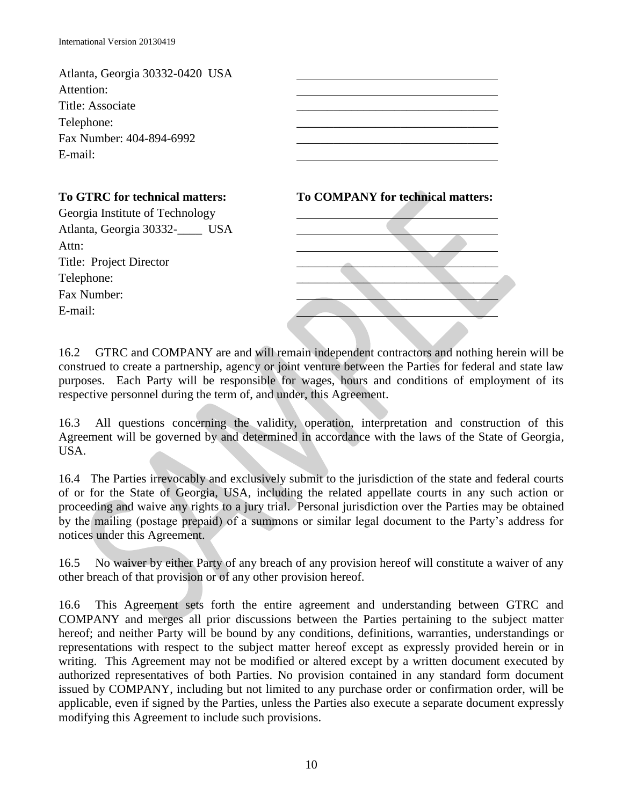| Atlanta, Georgia 30332-0420 USA<br>Attention:<br>Title: Associate<br>Telephone:<br>Fax Number: 404-894-6992<br>E-mail: |                                          |
|------------------------------------------------------------------------------------------------------------------------|------------------------------------------|
| To GTRC for technical matters:                                                                                         | <b>To COMPANY for technical matters:</b> |
| Georgia Institute of Technology                                                                                        |                                          |
| Atlanta, Georgia 30332-COMBINA                                                                                         |                                          |
| Attn:                                                                                                                  |                                          |
| Title: Project Director                                                                                                |                                          |
| Telephone:                                                                                                             |                                          |
| Fax Number:                                                                                                            |                                          |
| E-mail:                                                                                                                |                                          |
|                                                                                                                        |                                          |

16.2 GTRC and COMPANY are and will remain independent contractors and nothing herein will be construed to create a partnership, agency or joint venture between the Parties for federal and state law purposes. Each Party will be responsible for wages, hours and conditions of employment of its respective personnel during the term of, and under, this Agreement.

16.3 All questions concerning the validity, operation, interpretation and construction of this Agreement will be governed by and determined in accordance with the laws of the State of Georgia, USA.

16.4 The Parties irrevocably and exclusively submit to the jurisdiction of the state and federal courts of or for the State of Georgia, USA, including the related appellate courts in any such action or proceeding and waive any rights to a jury trial. Personal jurisdiction over the Parties may be obtained by the mailing (postage prepaid) of a summons or similar legal document to the Party's address for notices under this Agreement.

16.5 No waiver by either Party of any breach of any provision hereof will constitute a waiver of any other breach of that provision or of any other provision hereof.

16.6 This Agreement sets forth the entire agreement and understanding between GTRC and COMPANY and merges all prior discussions between the Parties pertaining to the subject matter hereof; and neither Party will be bound by any conditions, definitions, warranties, understandings or representations with respect to the subject matter hereof except as expressly provided herein or in writing. This Agreement may not be modified or altered except by a written document executed by authorized representatives of both Parties. No provision contained in any standard form document issued by COMPANY, including but not limited to any purchase order or confirmation order, will be applicable, even if signed by the Parties, unless the Parties also execute a separate document expressly modifying this Agreement to include such provisions.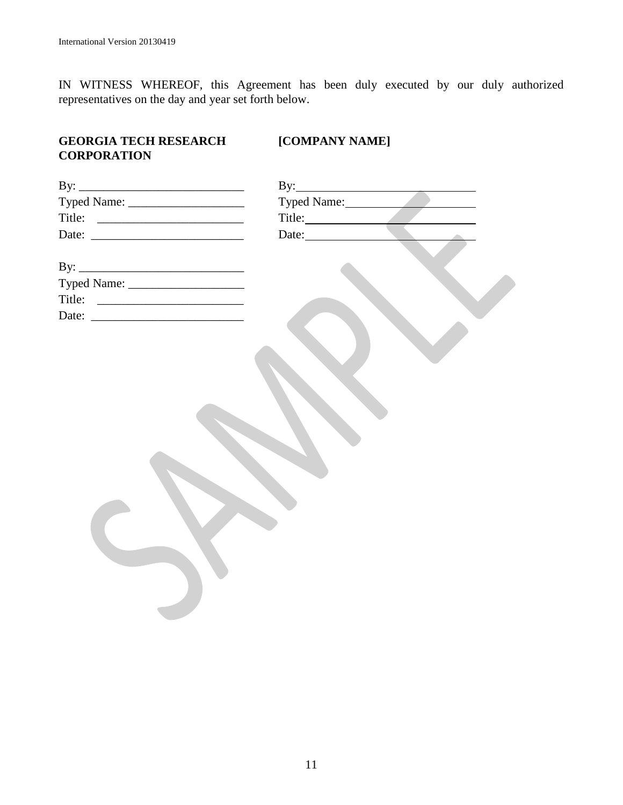IN WITNESS WHEREOF, this Agreement has been duly executed by our duly authorized representatives on the day and year set forth below.

# **GEORGIA TECH RESEARCH [COMPANY NAME] CORPORATION**

| Typed Name:         |
|---------------------|
| Title:              |
| Date: New York 1997 |
|                     |
|                     |
|                     |
|                     |
|                     |
|                     |
|                     |
|                     |
|                     |
|                     |
|                     |
|                     |
|                     |
|                     |
|                     |
|                     |
|                     |
|                     |
|                     |
|                     |
|                     |
|                     |
|                     |
|                     |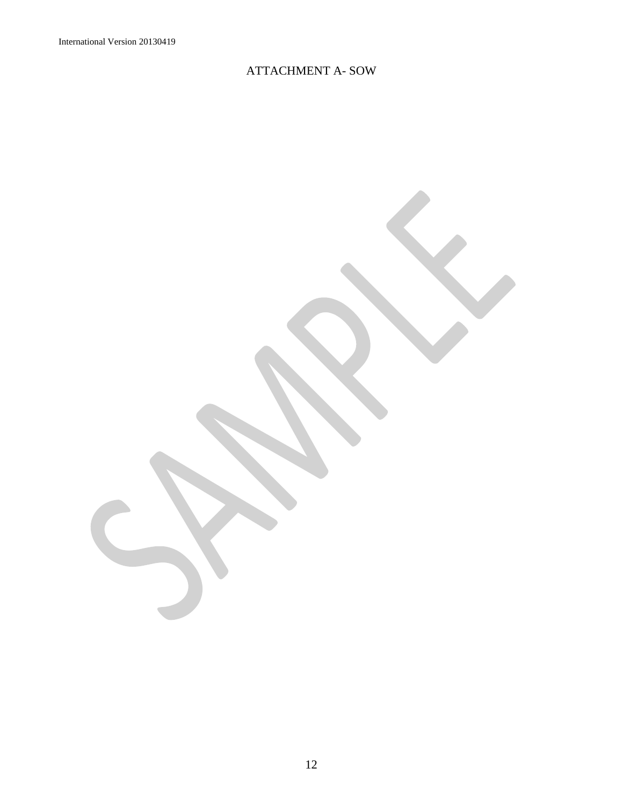# ATTACHMENT A- SOW

12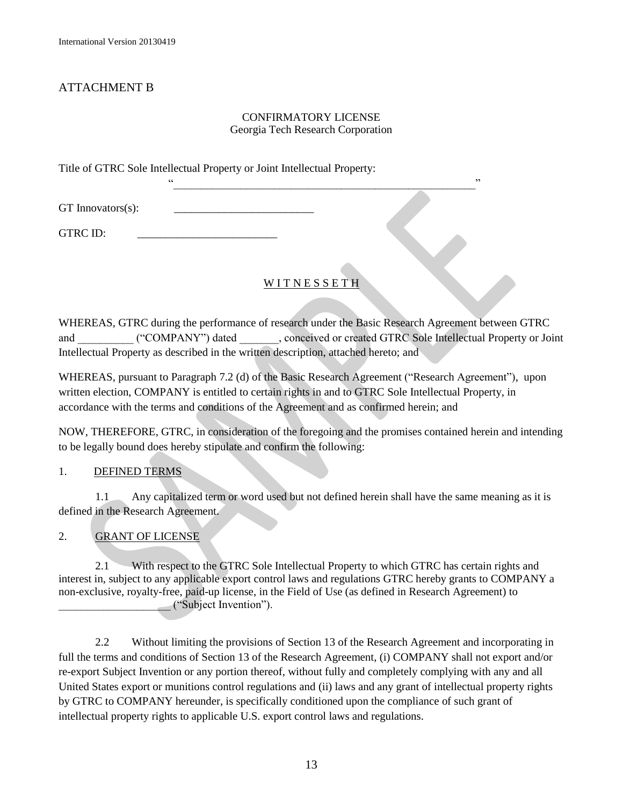# ATTACHMENT B

### CONFIRMATORY LICENSE Georgia Tech Research Corporation

 $\cdots$ 

Title of GTRC Sole Intellectual Property or Joint Intellectual Property:

GT Innovators(s):

GTRC ID:

# **WITNESSETH**

WHEREAS, GTRC during the performance of research under the Basic Research Agreement between GTRC and ("COMPANY") dated , conceived or created GTRC Sole Intellectual Property or Joint Intellectual Property as described in the written description, attached hereto; and

WHEREAS, pursuant to Paragraph 7.2 (d) of the Basic Research Agreement ("Research Agreement"), upon written election, COMPANY is entitled to certain rights in and to GTRC Sole Intellectual Property, in accordance with the terms and conditions of the Agreement and as confirmed herein; and

NOW, THEREFORE, GTRC, in consideration of the foregoing and the promises contained herein and intending to be legally bound does hereby stipulate and confirm the following:

### 1. DEFINED TERMS

1.1 Any capitalized term or word used but not defined herein shall have the same meaning as it is defined in the Research Agreement.

2. GRANT OF LICENSE

2.1 With respect to the GTRC Sole Intellectual Property to which GTRC has certain rights and interest in, subject to any applicable export control laws and regulations GTRC hereby grants to COMPANY a non-exclusive, royalty-free, paid-up license, in the Field of Use (as defined in Research Agreement) to \_\_\_\_\_\_\_\_\_\_\_\_\_\_\_\_\_\_\_\_ ("Subject Invention").

2.2 Without limiting the provisions of Section 13 of the Research Agreement and incorporating in full the terms and conditions of Section 13 of the Research Agreement, (i) COMPANY shall not export and/or re-export Subject Invention or any portion thereof, without fully and completely complying with any and all United States export or munitions control regulations and (ii) laws and any grant of intellectual property rights by GTRC to COMPANY hereunder, is specifically conditioned upon the compliance of such grant of intellectual property rights to applicable U.S. export control laws and regulations.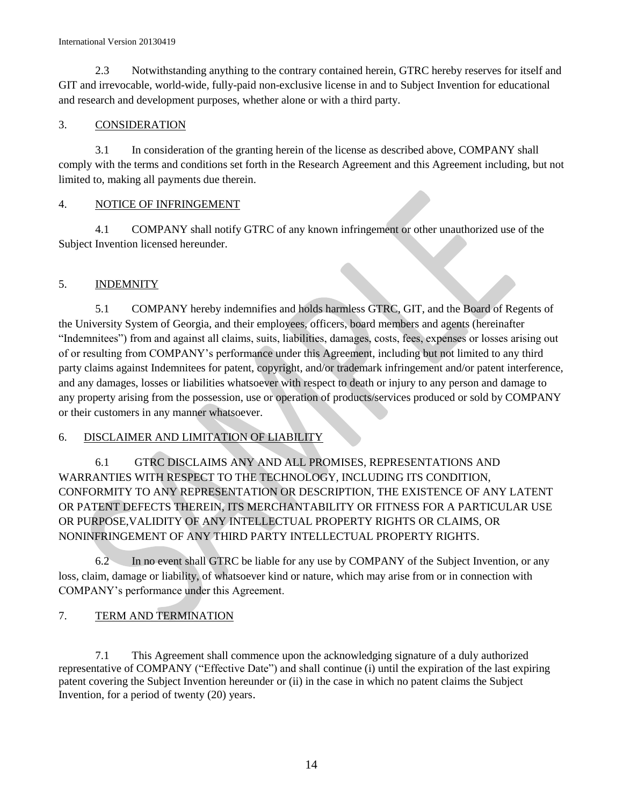### International Version 20130419

2.3 Notwithstanding anything to the contrary contained herein, GTRC hereby reserves for itself and GIT and irrevocable, world-wide, fully-paid non-exclusive license in and to Subject Invention for educational and research and development purposes, whether alone or with a third party.

### 3. CONSIDERATION

3.1 In consideration of the granting herein of the license as described above, COMPANY shall comply with the terms and conditions set forth in the Research Agreement and this Agreement including, but not limited to, making all payments due therein.

### 4. NOTICE OF INFRINGEMENT

4.1 COMPANY shall notify GTRC of any known infringement or other unauthorized use of the Subject Invention licensed hereunder.

### 5. INDEMNITY

5.1 COMPANY hereby indemnifies and holds harmless GTRC, GIT, and the Board of Regents of the University System of Georgia, and their employees, officers, board members and agents (hereinafter "Indemnitees") from and against all claims, suits, liabilities, damages, costs, fees, expenses or losses arising out of or resulting from COMPANY's performance under this Agreement, including but not limited to any third party claims against Indemnitees for patent, copyright, and/or trademark infringement and/or patent interference, and any damages, losses or liabilities whatsoever with respect to death or injury to any person and damage to any property arising from the possession, use or operation of products/services produced or sold by COMPANY or their customers in any manner whatsoever.

### 6. DISCLAIMER AND LIMITATION OF LIABILITY

6.1 GTRC DISCLAIMS ANY AND ALL PROMISES, REPRESENTATIONS AND WARRANTIES WITH RESPECT TO THE TECHNOLOGY, INCLUDING ITS CONDITION, CONFORMITY TO ANY REPRESENTATION OR DESCRIPTION, THE EXISTENCE OF ANY LATENT OR PATENT DEFECTS THEREIN, ITS MERCHANTABILITY OR FITNESS FOR A PARTICULAR USE OR PURPOSE,VALIDITY OF ANY INTELLECTUAL PROPERTY RIGHTS OR CLAIMS, OR NONINFRINGEMENT OF ANY THIRD PARTY INTELLECTUAL PROPERTY RIGHTS.

6.2 In no event shall GTRC be liable for any use by COMPANY of the Subject Invention, or any loss, claim, damage or liability, of whatsoever kind or nature, which may arise from or in connection with COMPANY's performance under this Agreement.

### 7. TERM AND TERMINATION

7.1 This Agreement shall commence upon the acknowledging signature of a duly authorized representative of COMPANY ("Effective Date") and shall continue (i) until the expiration of the last expiring patent covering the Subject Invention hereunder or (ii) in the case in which no patent claims the Subject Invention, for a period of twenty (20) years.